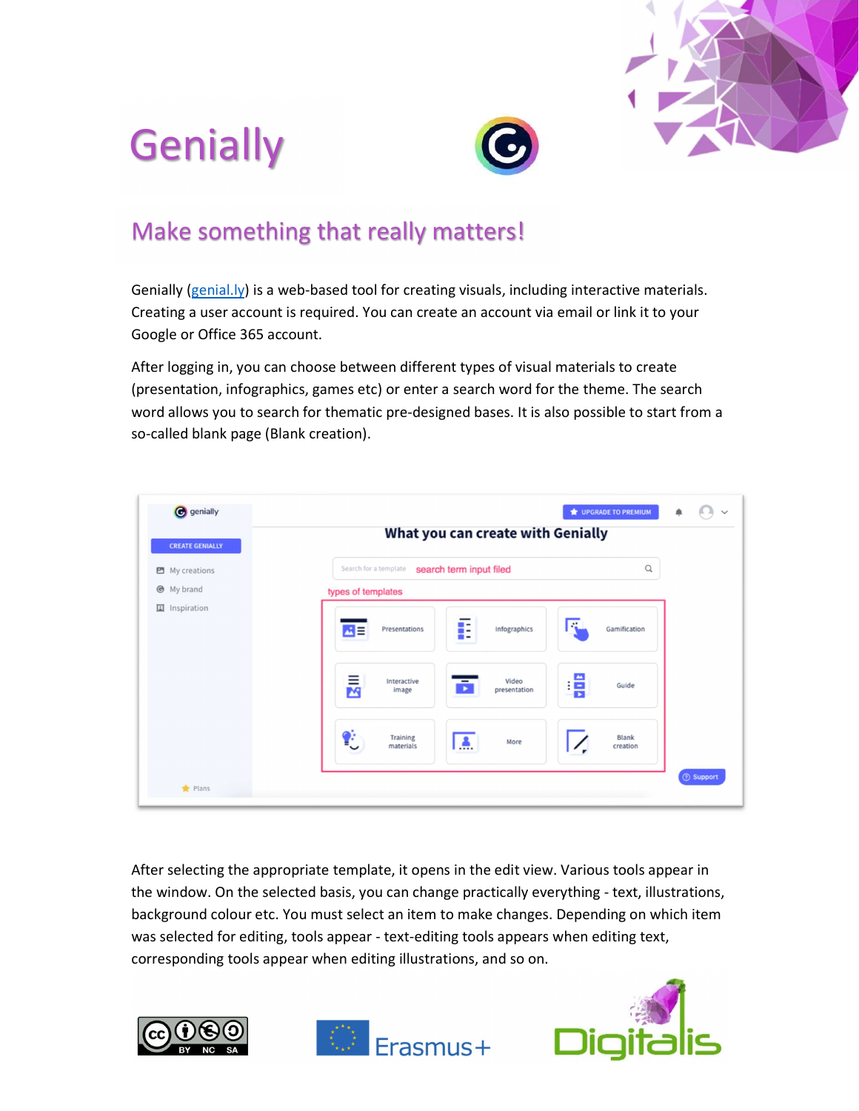





## Make something that really matters!

Genially ( $genial.|y\rangle$  is a web-based tool for creating visuals, including interactive materials. Creating a user account is required. You can create an account via email or link it to your Google or Office 365 account.

After logging in, you can choose between different types of visual materials to create (presentation, infographics, games etc) or enter a search word for the theme. The search word allows you to search for thematic pre-designed bases. It is also possible to start from a so-called blank page (Blank creation).

| <b>C</b> genially      | What you can create with Genially                       | <b>WE UPGRADE TO PREMIUM</b> | ۸ |                  |  |  |  |  |  |
|------------------------|---------------------------------------------------------|------------------------------|---|------------------|--|--|--|--|--|
| <b>CREATE GENIALLY</b> |                                                         |                              |   |                  |  |  |  |  |  |
| My creations           | Search for a template<br>search term input filed        | Q                            |   |                  |  |  |  |  |  |
| My brand               | types of templates                                      |                              |   |                  |  |  |  |  |  |
| 国 Inspiration          | E<br>Infographics<br>Presentations<br>색티                | Gamification                 |   |                  |  |  |  |  |  |
|                        | Ē<br>Video<br>Interactive<br>ō<br>image<br>presentation | Guide                        |   |                  |  |  |  |  |  |
|                        | Û<br>Training<br>More<br>Æ.<br>materials                | <b>Blank</b><br>creation     |   |                  |  |  |  |  |  |
| Plans                  |                                                         |                              |   | <b>② Support</b> |  |  |  |  |  |

After selecting the appropriate template, it opens in the edit view. Various tools appear in the window. On the selected basis, you can change practically everything - text, illustrations, background colour etc. You must select an item to make changes. Depending on which item was selected for editing, tools appear - text-editing tools appears when editing text, corresponding tools appear when editing illustrations, and so on.





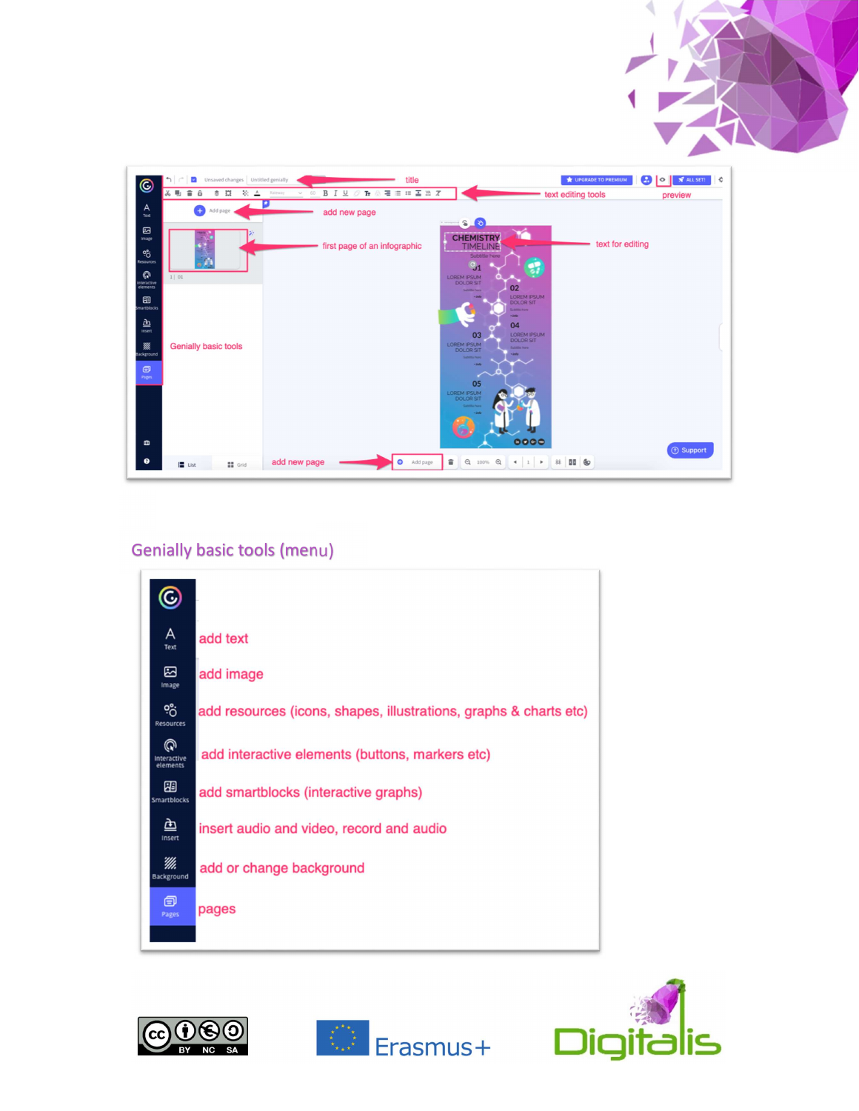

## Genially basic tools (menu)







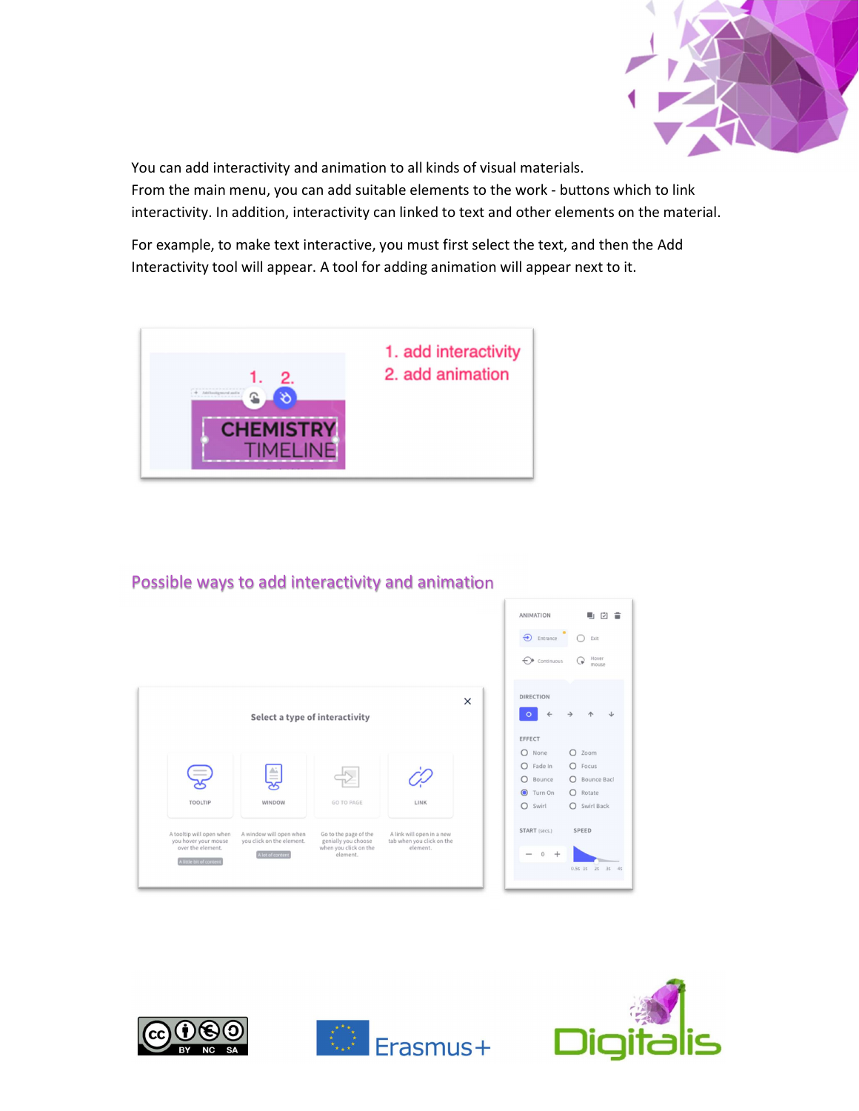

You can add interactivity and animation to all kinds of visual materials.

From the main menu, you can add suitable elements to the work - buttons which to link interactivity. In addition, interactivity can linked to text and other elements on the material.

For example, to make text interactive, you must first select the text, and then the Add Interactivity tool will appear. A tool for adding animation will appear next to it.



## Possible ways to add interactivity and animation

|                                                  |                                                      |                                              |                                                        |   | <b>ANIMATION</b>                     | ٠<br>凹                       |
|--------------------------------------------------|------------------------------------------------------|----------------------------------------------|--------------------------------------------------------|---|--------------------------------------|------------------------------|
|                                                  |                                                      |                                              |                                                        |   | $\bullet$<br>$\bigoplus$<br>Entrance | Exit                         |
|                                                  |                                                      |                                              |                                                        |   | ↔<br>Continuous                      | Hover<br>U.<br>mouse         |
|                                                  |                                                      |                                              |                                                        | X | <b>DIRECTION</b>                     |                              |
|                                                  | Select a type of interactivity                       |                                              |                                                        |   |                                      |                              |
|                                                  |                                                      |                                              |                                                        |   | EFFECT                               |                              |
|                                                  |                                                      |                                              |                                                        |   | $\circ$<br>None                      | $O$ Zoom                     |
|                                                  |                                                      |                                              |                                                        |   | $O$ Fade In                          | O Focus                      |
|                                                  | ≜                                                    |                                              |                                                        |   | $\circ$<br>Bounce                    | <b>Bounce Bac</b><br>$\circ$ |
|                                                  |                                                      |                                              |                                                        |   | <b>O</b> Turn On                     | $O$ Rotate                   |
| <b>TOOLTIP</b>                                   | WINDOW                                               | <b>GO TO PAGE</b>                            | LINK                                                   |   | Swirl<br>$\circ$                     | O Swirl Back                 |
| A tooltip will open when<br>you hover your mouse | A window will open when<br>you click on the element. | Go to the page of the<br>genially you choose | A link will open in a new<br>tab when you click on the |   | START (secs.)                        | <b>SPEED</b>                 |
| over the element.                                | A lot of content                                     | when you click on the<br>element.            | element.                                               |   | $\cap$<br>$^{+}$                     |                              |
| A little bit of content                          |                                                      |                                              |                                                        |   |                                      | 0.55 15 25 35                |
|                                                  |                                                      |                                              |                                                        |   |                                      |                              |







内 宣

 $5 \t35 \t4$